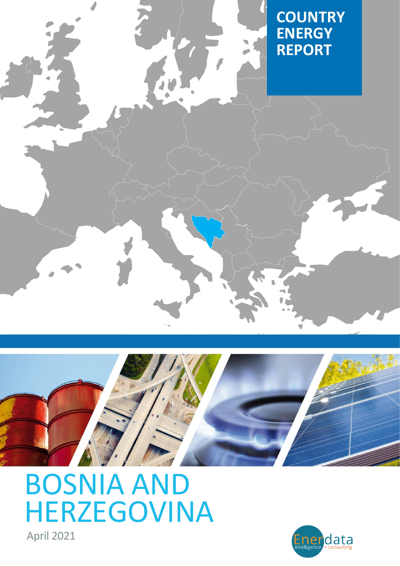



BOSNIA AND [HERZEGOVINA](https://www.enerdata.net/estore/country-profiles/bosnia-herzegovina.html)

April 2021

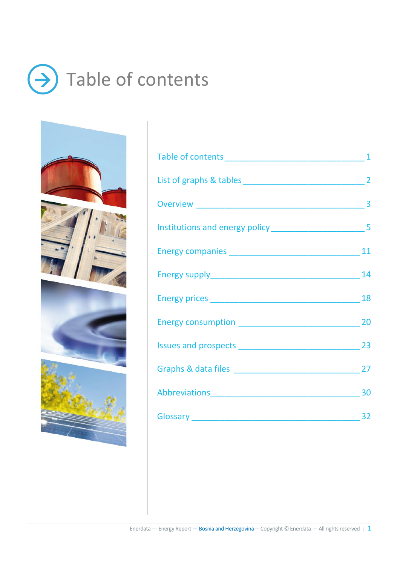## <span id="page-1-0"></span>Table of contents → $\bf{)}$



| Abbreviations 30 |    |
|------------------|----|
|                  | 32 |